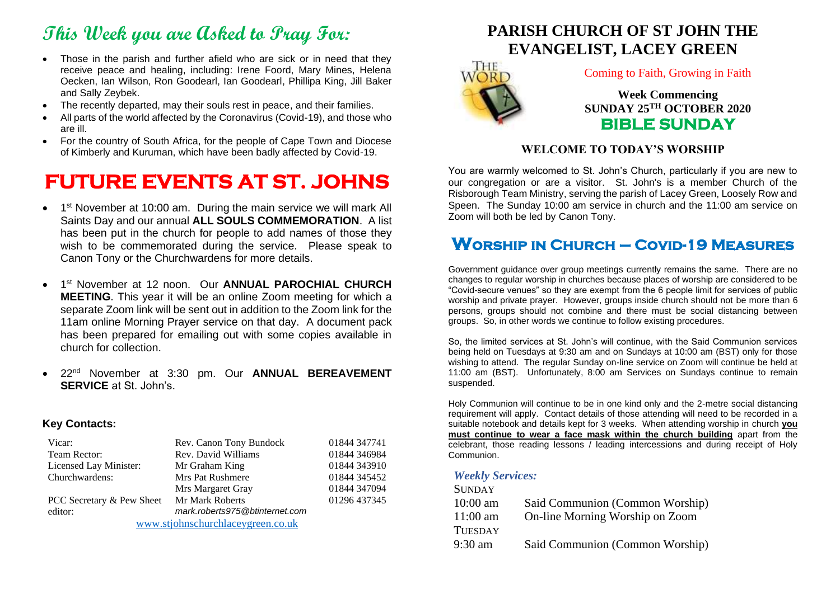# **This Week you are Asked to Pray For:**

- Those in the parish and further afield who are sick or in need that they receive peace and healing, including: Irene Foord, Mary Mines, Helena Oecken, Ian Wilson, Ron Goodearl, Ian Goodearl, Phillipa King, Jill Baker and Sally Zeybek.
- The recently departed, may their souls rest in peace, and their families.
- All parts of the world affected by the Coronavirus (Covid-19), and those who are ill.
- For the country of South Africa, for the people of Cape Town and Diocese of Kimberly and Kuruman, which have been badly affected by Covid-19.

# **FUTURE EVENTS AT ST. JOHNS**

- 1<sup>st</sup> November at 10:00 am. During the main service we will mark All Saints Day and our annual **ALL SOULS COMMEMORATION**. A list has been put in the church for people to add names of those they wish to be commemorated during the service. Please speak to Canon Tony or the Churchwardens for more details.
- 1 st November at 12 noon. Our **ANNUAL PAROCHIAL CHURCH MEETING**. This year it will be an online Zoom meeting for which a separate Zoom link will be sent out in addition to the Zoom link for the 11am online Morning Prayer service on that day. A document pack has been prepared for emailing out with some copies available in church for collection.
- 22nd November at 3:30 pm. Our **ANNUAL BEREAVEMENT SERVICE** at St. John's.

#### **Key Contacts:**

| Vicar:                            | Rev. Canon Tony Bundock        | 01844 347741 |
|-----------------------------------|--------------------------------|--------------|
| Team Rector:                      | Rev. David Williams            | 01844 346984 |
| Licensed Lay Minister:            | Mr Graham King                 | 01844 343910 |
| Churchwardens:                    | Mrs Pat Rushmere               | 01844 345452 |
|                                   | Mrs Margaret Gray              | 01844 347094 |
| PCC Secretary & Pew Sheet         | Mr Mark Roberts                | 01296 437345 |
| editor:                           | mark.roberts975@btinternet.com |              |
| www.stjohnschurchlaceygreen.co.uk |                                |              |





Coming to Faith, Growing in Faith

**Week Commencing SUNDAY 25TH OCTOBER 2020 BIBLE SUNDAY** 

#### **WELCOME TO TODAY'S WORSHIP**

You are warmly welcomed to St. John's Church, particularly if you are new to our congregation or are a visitor. St. John's is a member Church of the Risborough Team Ministry, serving the parish of Lacey Green, Loosely Row and Speen. The Sunday 10:00 am service in church and the 11:00 am service on Zoom will both be led by Canon Tony.

## **Worship in Church – Covid-19 Measures**

Government guidance over group meetings currently remains the same. There are no changes to regular worship in churches because places of worship are considered to be "Covid-secure venues" so they are exempt from the 6 people limit for services of public worship and private prayer. However, groups inside church should not be more than 6 persons, groups should not combine and there must be social distancing between groups. So, in other words we continue to follow existing procedures.

So, the limited services at St. John's will continue, with the Said Communion services being held on Tuesdays at 9:30 am and on Sundays at 10:00 am (BST) only for those wishing to attend. The regular Sunday on-line service on Zoom will continue be held at 11:00 am (BST). Unfortunately, 8:00 am Services on Sundays continue to remain suspended.

Holy Communion will continue to be in one kind only and the 2-metre social distancing requirement will apply. Contact details of those attending will need to be recorded in a suitable notebook and details kept for 3 weeks. When attending worship in church **you must continue to wear a face mask within the church building** apart from the celebrant, those reading lessons / leading intercessions and during receipt of Holy Communion.

#### *Weekly Services:*  $S_{\text{SUS}}$

| Said Communion (Common Worship) |
|---------------------------------|
| On-line Morning Worship on Zoom |
|                                 |
| Said Communion (Common Worship) |
|                                 |